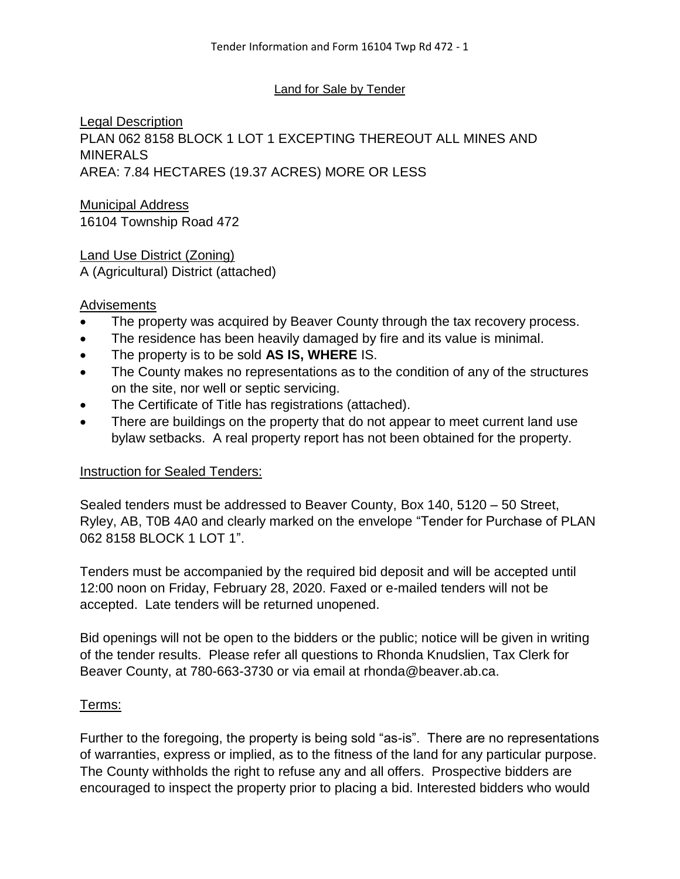#### Land for Sale by Tender

Legal Description PLAN 062 8158 BLOCK 1 LOT 1 EXCEPTING THEREOUT ALL MINES AND MINERALS AREA: 7.84 HECTARES (19.37 ACRES) MORE OR LESS

#### Municipal Address 16104 Township Road 472

Land Use District (Zoning) A (Agricultural) District (attached)

## **Advisements**

- The property was acquired by Beaver County through the tax recovery process.
- The residence has been heavily damaged by fire and its value is minimal.
- The property is to be sold **AS IS, WHERE** IS.
- The County makes no representations as to the condition of any of the structures on the site, nor well or septic servicing.
- The Certificate of Title has registrations (attached).
- There are buildings on the property that do not appear to meet current land use bylaw setbacks. A real property report has not been obtained for the property.

#### Instruction for Sealed Tenders:

Sealed tenders must be addressed to Beaver County, Box 140, 5120 – 50 Street, Ryley, AB, T0B 4A0 and clearly marked on the envelope "Tender for Purchase of PLAN 062 8158 BLOCK 1 LOT 1".

Tenders must be accompanied by the required bid deposit and will be accepted until 12:00 noon on Friday, February 28, 2020. Faxed or e-mailed tenders will not be accepted. Late tenders will be returned unopened.

Bid openings will not be open to the bidders or the public; notice will be given in writing of the tender results. Please refer all questions to Rhonda Knudslien, Tax Clerk for Beaver County, at 780-663-3730 or via email at rhonda@beaver.ab.ca.

#### Terms:

Further to the foregoing, the property is being sold "as-is". There are no representations of warranties, express or implied, as to the fitness of the land for any particular purpose. The County withholds the right to refuse any and all offers. Prospective bidders are encouraged to inspect the property prior to placing a bid. Interested bidders who would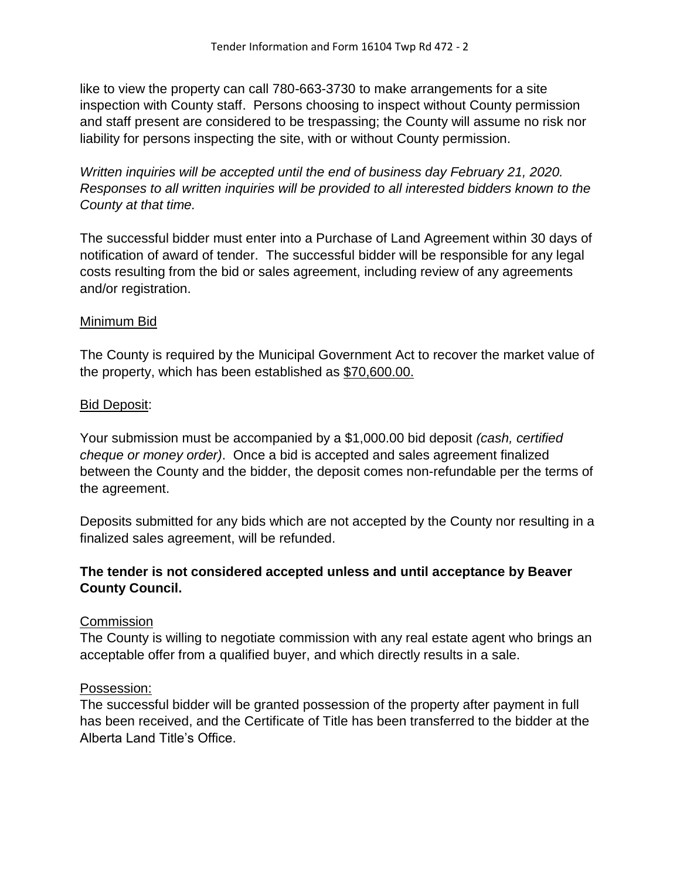like to view the property can call 780-663-3730 to make arrangements for a site inspection with County staff. Persons choosing to inspect without County permission and staff present are considered to be trespassing; the County will assume no risk nor liability for persons inspecting the site, with or without County permission.

*Written inquiries will be accepted until the end of business day February 21, 2020. Responses to all written inquiries will be provided to all interested bidders known to the County at that time.*

The successful bidder must enter into a Purchase of Land Agreement within 30 days of notification of award of tender. The successful bidder will be responsible for any legal costs resulting from the bid or sales agreement, including review of any agreements and/or registration.

## Minimum Bid

The County is required by the Municipal Government Act to recover the market value of the property, which has been established as \$70,600.00.

## Bid Deposit:

Your submission must be accompanied by a \$1,000.00 bid deposit *(cash, certified cheque or money order)*. Once a bid is accepted and sales agreement finalized between the County and the bidder, the deposit comes non-refundable per the terms of the agreement.

Deposits submitted for any bids which are not accepted by the County nor resulting in a finalized sales agreement, will be refunded.

## **The tender is not considered accepted unless and until acceptance by Beaver County Council.**

## **Commission**

The County is willing to negotiate commission with any real estate agent who brings an acceptable offer from a qualified buyer, and which directly results in a sale.

#### Possession:

The successful bidder will be granted possession of the property after payment in full has been received, and the Certificate of Title has been transferred to the bidder at the Alberta Land Title's Office.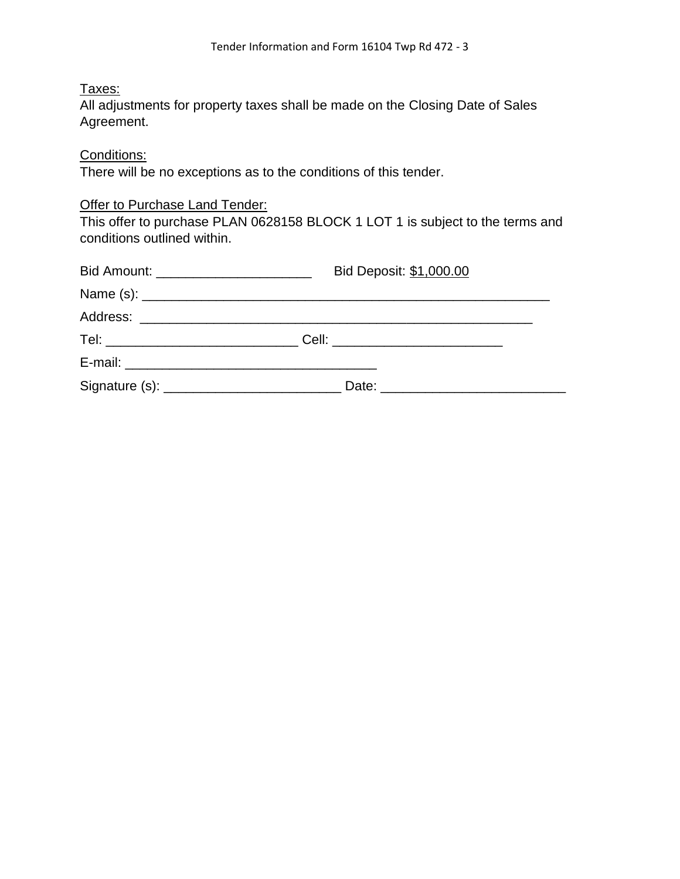# Taxes:

All adjustments for property taxes shall be made on the Closing Date of Sales Agreement.

# Conditions:

There will be no exceptions as to the conditions of this tender.

## **Offer to Purchase Land Tender:**

This offer to purchase PLAN 0628158 BLOCK 1 LOT 1 is subject to the terms and conditions outlined within.

| Bid Amount: ___________________________ | Bid Deposit: \$1,000.00                                            |  |  |
|-----------------------------------------|--------------------------------------------------------------------|--|--|
|                                         |                                                                    |  |  |
|                                         |                                                                    |  |  |
|                                         | Tel: _____________________________Cell: __________________________ |  |  |
|                                         |                                                                    |  |  |
|                                         |                                                                    |  |  |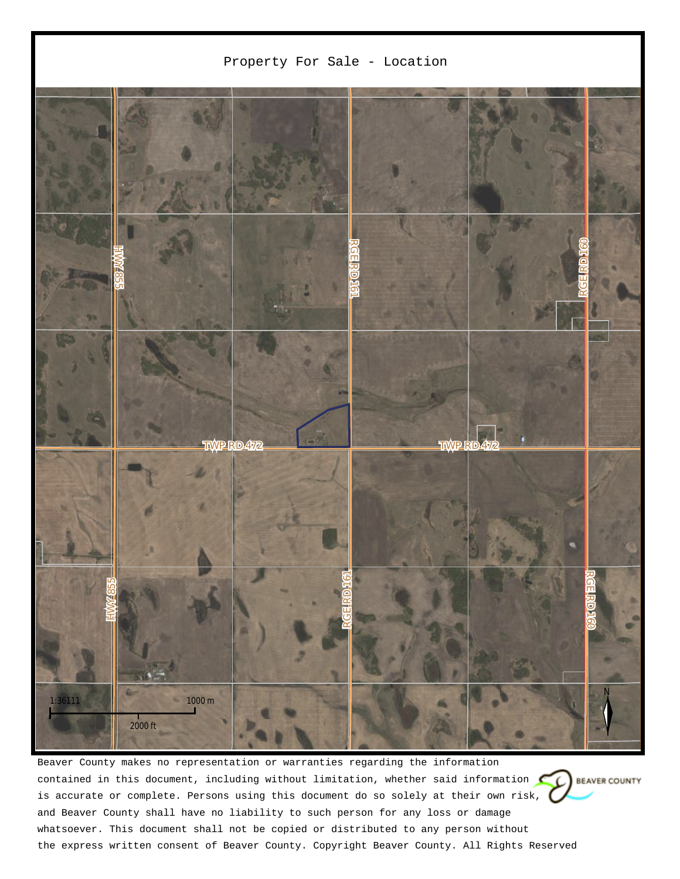

Beaver County makes no representation or warranties regarding the information contained in this document, including without limitation, whether said information  $\mathbb{C}$  BEAVER COUNTY is accurate or complete. Persons using this document do so solely at their own risk, and Beaver County shall have no liability to such person for any loss or damage whatsoever. This document shall not be copied or distributed to any person without the express written consent of Beaver County. Copyright Beaver County. All Rights Reserved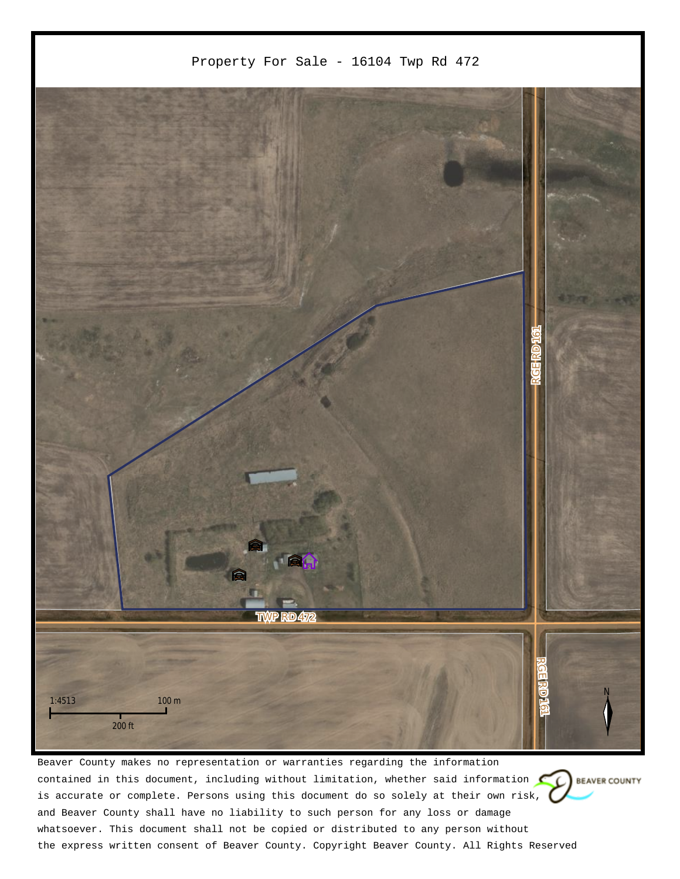

Beaver County makes no representation or warranties regarding the information contained in this document, including without limitation, whether said information  $\mathbb{C}$  BEAVER COUNTY is accurate or complete. Persons using this document do so solely at their own risk, and Beaver County shall have no liability to such person for any loss or damage whatsoever. This document shall not be copied or distributed to any person without the express written consent of Beaver County. Copyright Beaver County. All Rights Reserved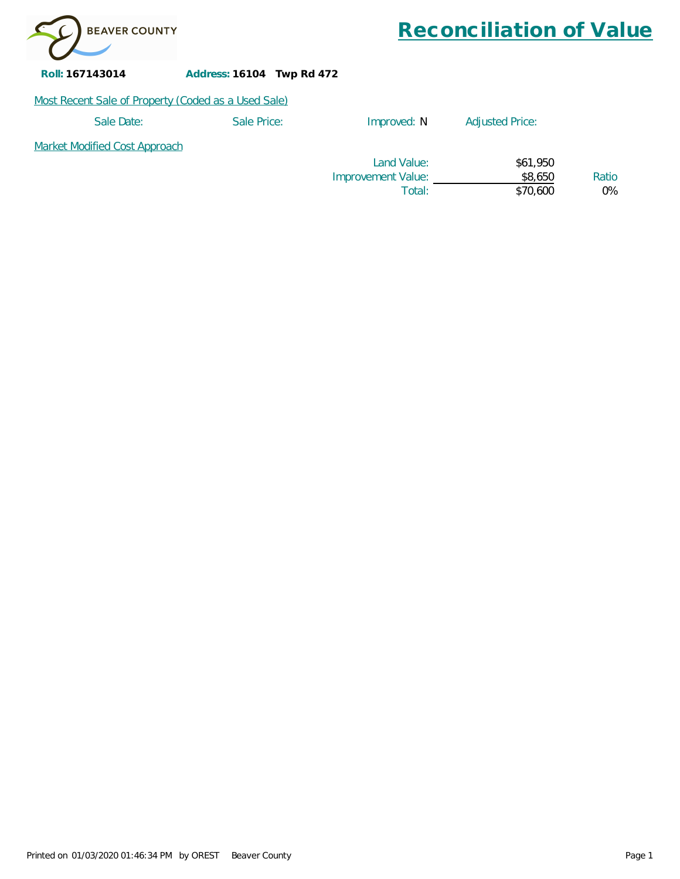

*Reconciliation of Value*

**Roll: 167143014 Address: 16104 Twp Rd 472**

#### Most Recent Sale of Property (Coded as a Used Sale)

| Sale Date:                           | Sale Price: | Improved: N        | <b>Adjusted Price:</b> |       |
|--------------------------------------|-------------|--------------------|------------------------|-------|
| <b>Market Modified Cost Approach</b> |             |                    |                        |       |
|                                      |             | Land Value:        | \$61,950               |       |
|                                      |             | Improvement Value: | \$8,650                | Ratio |
|                                      |             | Total:             | \$70,600               | 0%    |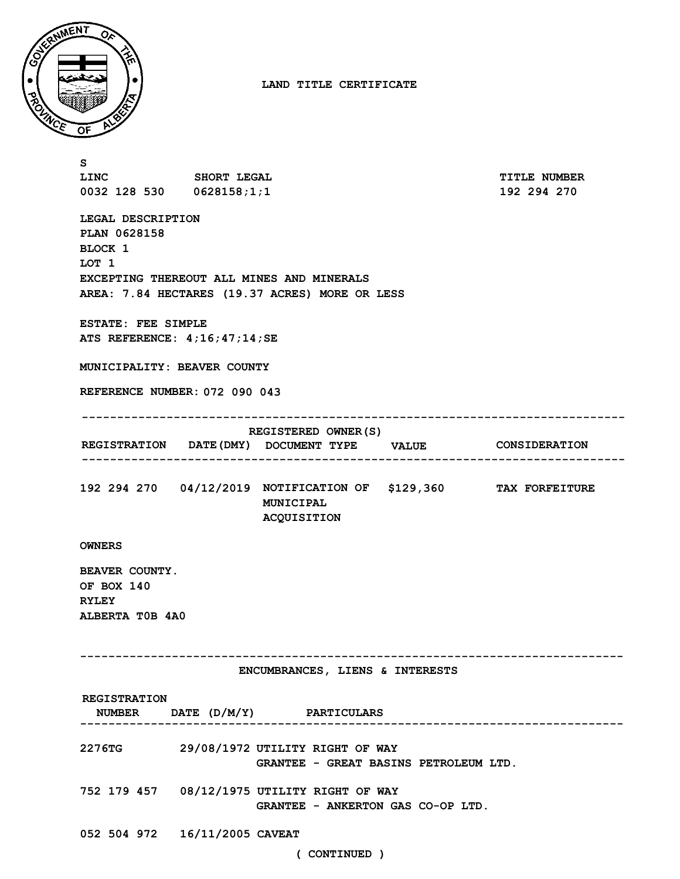

**LAND TITLE CERTIFICATE**

| s<br>LINC SHORT LEGAL                                                                                                                                       |  |                                                                                                       |                        | <b>TITLE NUMBER</b> |  |  |
|-------------------------------------------------------------------------------------------------------------------------------------------------------------|--|-------------------------------------------------------------------------------------------------------|------------------------|---------------------|--|--|
| 0032 128 530 0628158;1;1                                                                                                                                    |  |                                                                                                       |                        | 192 294 270         |  |  |
| LEGAL DESCRIPTION<br>PLAN 0628158<br><b>BLOCK 1</b><br>LOT 1<br>EXCEPTING THEREOUT ALL MINES AND MINERALS<br>AREA: 7.84 HECTARES (19.37 ACRES) MORE OR LESS |  |                                                                                                       |                        |                     |  |  |
| ESTATE: FEE SIMPLE<br>ATS REFERENCE: $4;16;47;14;SE$                                                                                                        |  |                                                                                                       |                        |                     |  |  |
| MUNICIPALITY: BEAVER COUNTY                                                                                                                                 |  |                                                                                                       |                        |                     |  |  |
| REFERENCE NUMBER: 072 090 043<br>-------------------------                                                                                                  |  |                                                                                                       |                        |                     |  |  |
|                                                                                                                                                             |  | REGISTERED OWNER (S)<br>REGISTRATION DATE (DMY) DOCUMENT TYPE VALUE CONSIDERATION                     |                        |                     |  |  |
|                                                                                                                                                             |  | 192 294 270  04/12/2019  NOTIFICATION OF \$129,360  TAX FORFEITURE<br>MUNICIPAL<br><b>ACQUISITION</b> |                        |                     |  |  |
| <b>OWNERS</b>                                                                                                                                               |  |                                                                                                       |                        |                     |  |  |
| BEAVER COUNTY.<br>OF BOX 140<br><b>RYLEY</b><br>ALBERTA TOB 4A0                                                                                             |  |                                                                                                       |                        |                     |  |  |
|                                                                                                                                                             |  |                                                                                                       |                        |                     |  |  |
| ENCUMBRANCES, LIENS & INTERESTS                                                                                                                             |  |                                                                                                       |                        |                     |  |  |
| <b>REGISTRATION</b>                                                                                                                                         |  | NUMBER $\Box$ DATE $(D/M/Y)$ PARTICULARS                                                              | ---------------------- |                     |  |  |
|                                                                                                                                                             |  | 2276TG 29/08/1972 UTILITY RIGHT OF WAY<br>GRANTEE - GREAT BASINS PETROLEUM LTD.                       |                        |                     |  |  |
|                                                                                                                                                             |  | 752 179 457 08/12/1975 UTILITY RIGHT OF WAY<br>GRANTEE - ANKERTON GAS CO-OP LTD.                      |                        |                     |  |  |
| 052 504 972 16/11/2005 CAVEAT                                                                                                                               |  | ( CONTINUED )                                                                                         |                        |                     |  |  |
|                                                                                                                                                             |  |                                                                                                       |                        |                     |  |  |